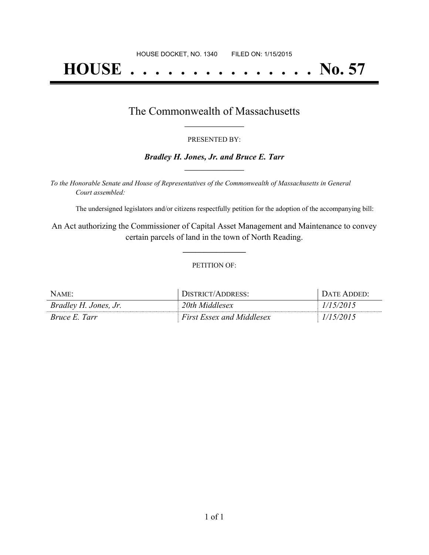# **HOUSE . . . . . . . . . . . . . . . No. 57**

### The Commonwealth of Massachusetts **\_\_\_\_\_\_\_\_\_\_\_\_\_\_\_\_\_**

#### PRESENTED BY:

#### *Bradley H. Jones, Jr. and Bruce E. Tarr* **\_\_\_\_\_\_\_\_\_\_\_\_\_\_\_\_\_**

*To the Honorable Senate and House of Representatives of the Commonwealth of Massachusetts in General Court assembled:*

The undersigned legislators and/or citizens respectfully petition for the adoption of the accompanying bill:

An Act authorizing the Commissioner of Capital Asset Management and Maintenance to convey certain parcels of land in the town of North Reading.

**\_\_\_\_\_\_\_\_\_\_\_\_\_\_\_**

#### PETITION OF:

| $N$ AME:              | DISTRICT/ADDRESS:                | DATE ADDED: |
|-----------------------|----------------------------------|-------------|
| Bradley H. Jones, Jr. | 20th Middlesex                   | 1/15/2015   |
| <i>Bruce E. Tarr</i>  | <b>First Essex and Middlesex</b> | 1/15/2015   |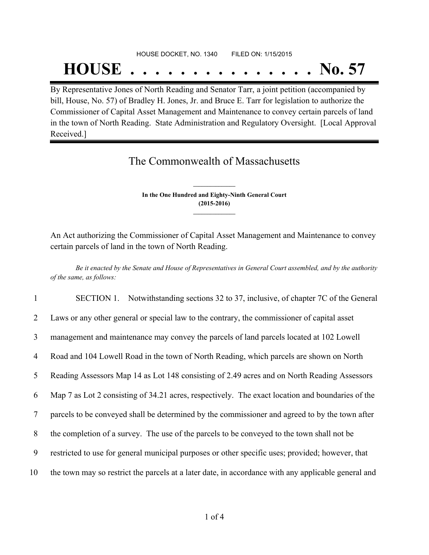# HOUSE DOCKET, NO. 1340 FILED ON: 1/15/2015 **HOUSE . . . . . . . . . . . . . . . No. 57**

By Representative Jones of North Reading and Senator Tarr, a joint petition (accompanied by bill, House, No. 57) of Bradley H. Jones, Jr. and Bruce E. Tarr for legislation to authorize the Commissioner of Capital Asset Management and Maintenance to convey certain parcels of land in the town of North Reading. State Administration and Regulatory Oversight. [Local Approval Received.]

## The Commonwealth of Massachusetts

**In the One Hundred and Eighty-Ninth General Court (2015-2016) \_\_\_\_\_\_\_\_\_\_\_\_\_\_\_**

**\_\_\_\_\_\_\_\_\_\_\_\_\_\_\_**

An Act authorizing the Commissioner of Capital Asset Management and Maintenance to convey certain parcels of land in the town of North Reading.

Be it enacted by the Senate and House of Representatives in General Court assembled, and by the authority *of the same, as follows:*

 SECTION 1. Notwithstanding sections 32 to 37, inclusive, of chapter 7C of the General Laws or any other general or special law to the contrary, the commissioner of capital asset management and maintenance may convey the parcels of land parcels located at 102 Lowell Road and 104 Lowell Road in the town of North Reading, which parcels are shown on North Reading Assessors Map 14 as Lot 148 consisting of 2.49 acres and on North Reading Assessors Map 7 as Lot 2 consisting of 34.21 acres, respectively. The exact location and boundaries of the parcels to be conveyed shall be determined by the commissioner and agreed to by the town after the completion of a survey. The use of the parcels to be conveyed to the town shall not be restricted to use for general municipal purposes or other specific uses; provided; however, that the town may so restrict the parcels at a later date, in accordance with any applicable general and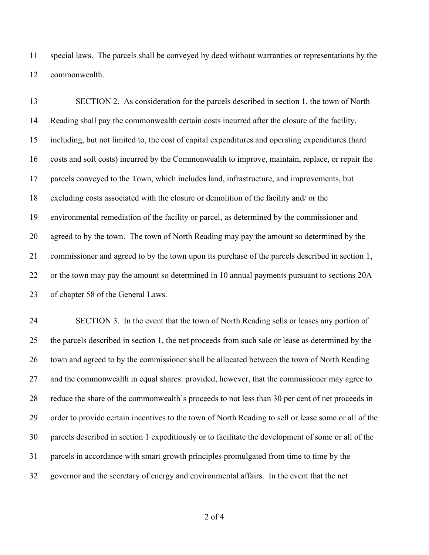special laws. The parcels shall be conveyed by deed without warranties or representations by the commonwealth.

 SECTION 2. As consideration for the parcels described in section 1, the town of North Reading shall pay the commonwealth certain costs incurred after the closure of the facility, including, but not limited to, the cost of capital expenditures and operating expenditures (hard costs and soft costs) incurred by the Commonwealth to improve, maintain, replace, or repair the parcels conveyed to the Town, which includes land, infrastructure, and improvements, but excluding costs associated with the closure or demolition of the facility and/ or the environmental remediation of the facility or parcel, as determined by the commissioner and agreed to by the town. The town of North Reading may pay the amount so determined by the commissioner and agreed to by the town upon its purchase of the parcels described in section 1, or the town may pay the amount so determined in 10 annual payments pursuant to sections 20A of chapter 58 of the General Laws.

 SECTION 3. In the event that the town of North Reading sells or leases any portion of the parcels described in section 1, the net proceeds from such sale or lease as determined by the town and agreed to by the commissioner shall be allocated between the town of North Reading and the commonwealth in equal shares: provided, however, that the commissioner may agree to reduce the share of the commonwealth's proceeds to not less than 30 per cent of net proceeds in order to provide certain incentives to the town of North Reading to sell or lease some or all of the parcels described in section 1 expeditiously or to facilitate the development of some or all of the parcels in accordance with smart growth principles promulgated from time to time by the governor and the secretary of energy and environmental affairs. In the event that the net

of 4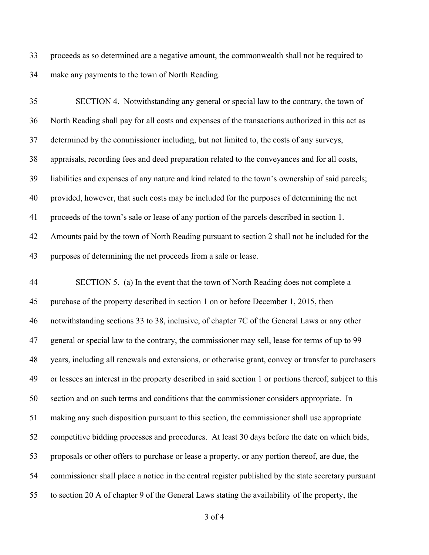proceeds as so determined are a negative amount, the commonwealth shall not be required to make any payments to the town of North Reading.

 SECTION 4. Notwithstanding any general or special law to the contrary, the town of North Reading shall pay for all costs and expenses of the transactions authorized in this act as determined by the commissioner including, but not limited to, the costs of any surveys, appraisals, recording fees and deed preparation related to the conveyances and for all costs, liabilities and expenses of any nature and kind related to the town's ownership of said parcels; provided, however, that such costs may be included for the purposes of determining the net proceeds of the town's sale or lease of any portion of the parcels described in section 1. Amounts paid by the town of North Reading pursuant to section 2 shall not be included for the purposes of determining the net proceeds from a sale or lease.

 SECTION 5. (a) In the event that the town of North Reading does not complete a purchase of the property described in section 1 on or before December 1, 2015, then notwithstanding sections 33 to 38, inclusive, of chapter 7C of the General Laws or any other general or special law to the contrary, the commissioner may sell, lease for terms of up to 99 years, including all renewals and extensions, or otherwise grant, convey or transfer to purchasers or lessees an interest in the property described in said section 1 or portions thereof, subject to this section and on such terms and conditions that the commissioner considers appropriate. In making any such disposition pursuant to this section, the commissioner shall use appropriate competitive bidding processes and procedures. At least 30 days before the date on which bids, proposals or other offers to purchase or lease a property, or any portion thereof, are due, the commissioner shall place a notice in the central register published by the state secretary pursuant to section 20 A of chapter 9 of the General Laws stating the availability of the property, the

of 4